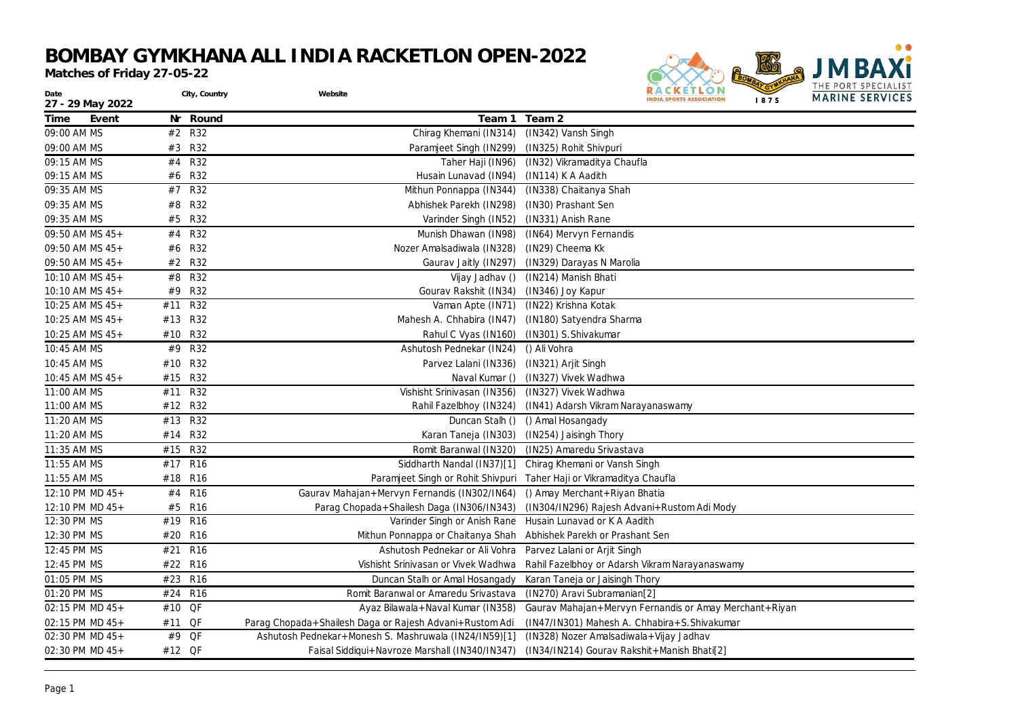## **BOMBAY GYMKHANA ALL INDIA RACKETLON OPEN-2022**

*Matches of Friday 27-05-22*



| Date<br>27 - 29 May 2022 |         | City, Country   | Website                                                 | 1112121111121212121212<br>O N<br><b>MARINE SERVICES</b><br><b>NDIA SPORTS ASSOCIATION</b><br>1875 |
|--------------------------|---------|-----------------|---------------------------------------------------------|---------------------------------------------------------------------------------------------------|
| Time<br>Event            | Nr      | Round           | Team 1                                                  | Team 2                                                                                            |
| 09:00 AM MS              | #2 R32  |                 | Chirag Khemani (IN314) (IN342) Vansh Singh              |                                                                                                   |
| 09:00 AM MS              | #3 R32  |                 | Paramjeet Singh (IN299)                                 | (IN325) Rohit Shivpuri                                                                            |
| 09:15 AM MS              | #4 R32  |                 | Taher Haji (IN96)                                       | (IN32) Vikramaditya Chaufla                                                                       |
| 09:15 AM MS              | #6      | <b>R32</b>      | Husain Lunavad (IN94)                                   | (IN114) K A Aadith                                                                                |
| 09:35 AM MS              | #7 R32  |                 | Mithun Ponnappa (IN344)                                 | (IN338) Chaitanya Shah                                                                            |
| 09:35 AM MS              | #8      | <b>R32</b>      | Abhishek Parekh (IN298)                                 | (IN30) Prashant Sen                                                                               |
| 09:35 AM MS              | #5 R32  |                 | Varinder Singh (IN52)                                   | (IN331) Anish Rane                                                                                |
| 09:50 AM MS 45+          | #4 R32  |                 | Munish Dhawan (IN98)                                    | (IN64) Mervyn Fernandis                                                                           |
| 09:50 AM MS 45+          | #6      | R32             | Nozer Amalsadiwala (IN328)                              | (IN29) Cheema Kk                                                                                  |
| 09:50 AM MS 45+          | #2 R32  |                 | Gaurav Jaitly (IN297)                                   | (IN329) Darayas N Marolia                                                                         |
| 10:10 AM MS 45+          | #8      | <b>R32</b>      | Vijay Jadhav ()                                         | (IN214) Manish Bhati                                                                              |
| 10:10 AM MS $45+$        | #9      | <b>R32</b>      | Gourav Rakshit (IN34)                                   | (IN346) Joy Kapur                                                                                 |
| 10:25 AM MS 45+          | #11     | <b>R32</b>      | Vaman Apte (IN71)                                       | (IN22) Krishna Kotak                                                                              |
| $10:25$ AM MS $45+$      | #13 R32 |                 | Mahesh A. Chhabira (IN47)                               | (IN180) Satyendra Sharma                                                                          |
| 10:25 AM MS 45+          | #10     | <b>R32</b>      | Rahul C Vyas (IN160)                                    | (IN301) S. Shivakumar                                                                             |
| 10:45 AM MS              | #9      | <b>R32</b>      | Ashutosh Pednekar (IN24)                                | () Ali Vohra                                                                                      |
| 10:45 AM MS              | #10     | <b>R32</b>      | Parvez Lalani (IN336) (IN321) Arjit Singh               |                                                                                                   |
| 10:45 AM MS $45+$        | #15     | <b>R32</b>      | Naval Kumar ()                                          | (IN327) Vivek Wadhwa                                                                              |
| 11:00 AM MS              | #11     | <b>R32</b>      | Vishisht Srinivasan (IN356) (IN327) Vivek Wadhwa        |                                                                                                   |
| 11:00 AM MS              | #12     | <b>R32</b>      | Rahil Fazelbhoy (IN324)                                 | (IN41) Adarsh Vikram Narayanaswamy                                                                |
| 11:20 AM MS              | #13     | <b>R32</b>      | Duncan Stalh ()                                         | () Amal Hosangady                                                                                 |
| 11:20 AM MS              | #14     | <b>R32</b>      | Karan Taneja (IN303)                                    | (IN254) Jaisingh Thory                                                                            |
| 11:35 AM MS              | #15     | <b>R32</b>      | Romit Baranwal (IN320)                                  | (IN25) Amaredu Srivastava                                                                         |
| 11:55 AM MS              | #17 R16 |                 |                                                         | Siddharth Nandal (IN37)[1] Chirag Khemani or Vansh Singh                                          |
| 11:55 AM MS              | #18 R16 |                 |                                                         | Paramjeet Singh or Rohit Shivpuri Taher Haji or Vikramaditya Chaufla                              |
| 12:10 PM MD 45+          | #4 R16  |                 | Gaurav Mahajan+Mervyn Fernandis (IN302/IN64)            | () Amay Merchant + Riyan Bhatia                                                                   |
| 12:10 PM MD 45+          | #5      | <b>R16</b>      | Parag Chopada+Shailesh Daga (IN306/IN343)               | (IN304/IN296) Rajesh Advani+Rustom Adi Mody                                                       |
| 12:30 PM MS              | #19     | <b>R16</b>      | Varinder Singh or Anish Rane                            | Husain Lunavad or K A Aadith                                                                      |
| 12:30 PM MS              | #20     | <b>R16</b>      | Mithun Ponnappa or Chaitanya Shah                       | Abhishek Parekh or Prashant Sen                                                                   |
| 12:45 PM MS              | #21     | R <sub>16</sub> | Ashutosh Pednekar or Ali Vohra                          | Parvez Lalani or Arjit Singh                                                                      |
| 12:45 PM MS              | #22     | <b>R16</b>      | Vishisht Srinivasan or Vivek Wadhwa                     | Rahil Fazelbhoy or Adarsh Vikram Narayanaswamy                                                    |
| 01:05 PM MS              | #23     | R <sub>16</sub> | Duncan Stalh or Amal Hosangady                          | Karan Taneja or Jaisingh Thory                                                                    |
| 01:20 PM MS              | #24     | <b>R16</b>      | Romit Baranwal or Amaredu Srivastava                    | (IN270) Aravi Subramanian[2]                                                                      |
| 02:15 PM MD 45+          | #10     | QF              | Ayaz Bilawala+Naval Kumar (IN358)                       | Gaurav Mahajan+Mervyn Fernandis or Amay Merchant+Riyan                                            |
| 02:15 PM MD 45+          | #11     | QF              | Parag Chopada+Shailesh Daga or Rajesh Advani+Rustom Adi | (IN47/IN301) Mahesh A. Chhabira+S. Shivakumar                                                     |
| 02:30 PM MD 45+          | #9      | QF              | Ashutosh Pednekar+Monesh S. Mashruwala (IN24/IN59)[1]   | (IN328) Nozer Amalsadiwala+Vijay Jadhav                                                           |
| 02:30 PM MD 45+          | #12 QF  |                 | Faisal Siddiqui+Navroze Marshall (IN340/IN347)          | (IN34/IN214) Gourav Rakshit+Manish Bhati[2]                                                       |